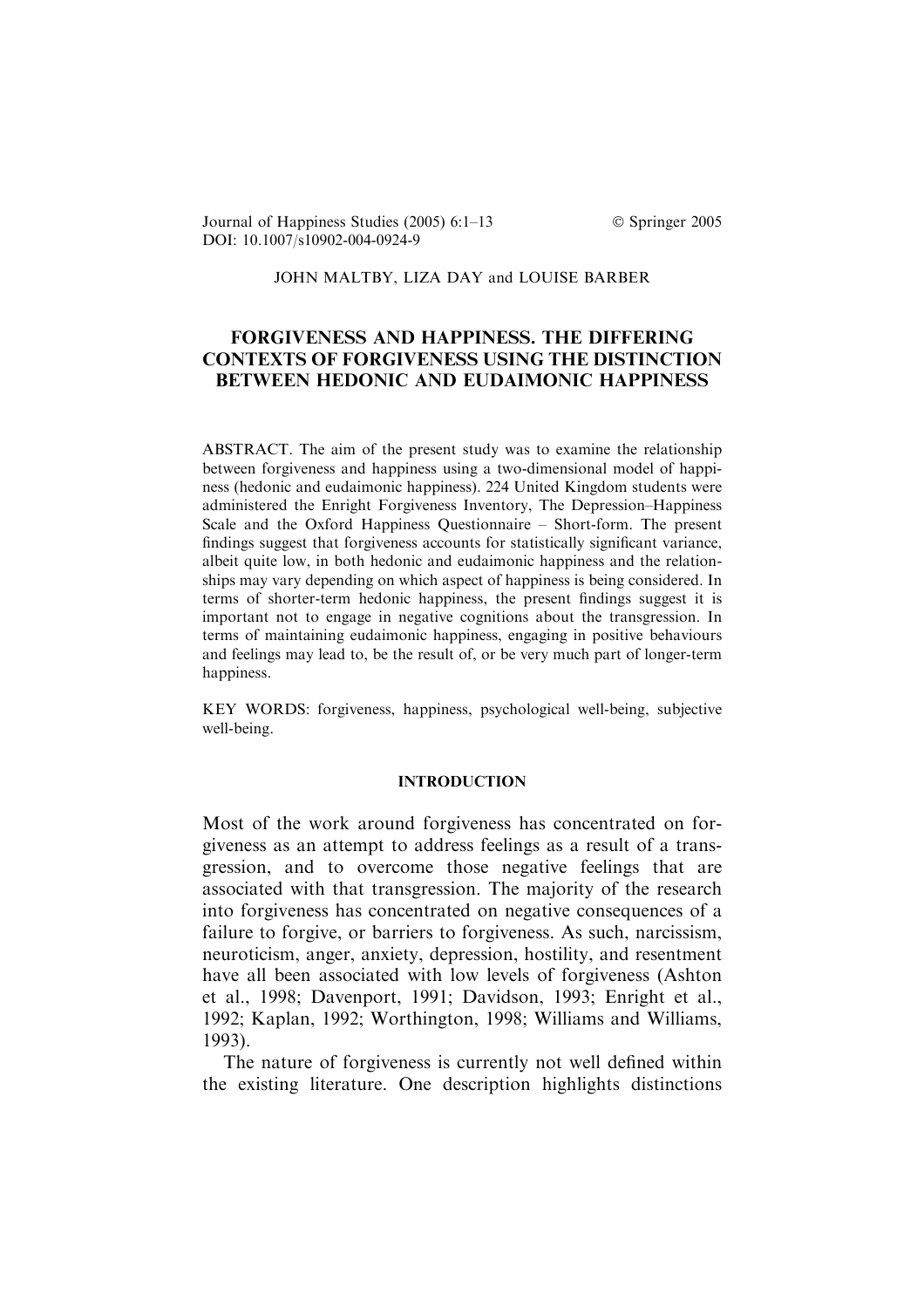Journal of Happiness Studies (2005) 6:1–13  $\circ$  Springer 2005 DOI: 10.1007/s10902-004-0924-9

### JOHN MALTBY, LIZA DAY and LOUISE BARBER

# FORGIVENESS AND HAPPINESS. THE DIFFERING CONTEXTS OF FORGIVENESS USING THE DISTINCTION BETWEEN HEDONIC AND EUDAIMONIC HAPPINESS

ABSTRACT. The aim of the present study was to examine the relationship between forgiveness and happiness using a two-dimensional model of happiness (hedonic and eudaimonic happiness). 224 United Kingdom students were administered the Enright Forgiveness Inventory, The Depression–Happiness Scale and the Oxford Happiness Questionnaire – Short-form. The present findings suggest that forgiveness accounts for statistically significant variance, albeit quite low, in both hedonic and eudaimonic happiness and the relationships may vary depending on which aspect of happiness is being considered. In terms of shorter-term hedonic happiness, the present findings suggest it is important not to engage in negative cognitions about the transgression. In terms of maintaining eudaimonic happiness, engaging in positive behaviours and feelings may lead to, be the result of, or be very much part of longer-term happiness.

KEY WORDS: forgiveness, happiness, psychological well-being, subjective well-being.

### INTRODUCTION

Most of the work around forgiveness has concentrated on forgiveness as an attempt to address feelings as a result of a transgression, and to overcome those negative feelings that are associated with that transgression. The majority of the research into forgiveness has concentrated on negative consequences of a failure to forgive, or barriers to forgiveness. As such, narcissism, neuroticism, anger, anxiety, depression, hostility, and resentment have all been associated with low levels of forgiveness (Ashton et al., 1998; Davenport, 1991; Davidson, 1993; Enright et al., 1992; Kaplan, 1992; Worthington, 1998; Williams and Williams, 1993).

The nature of forgiveness is currently not well defined within the existing literature. One description highlights distinctions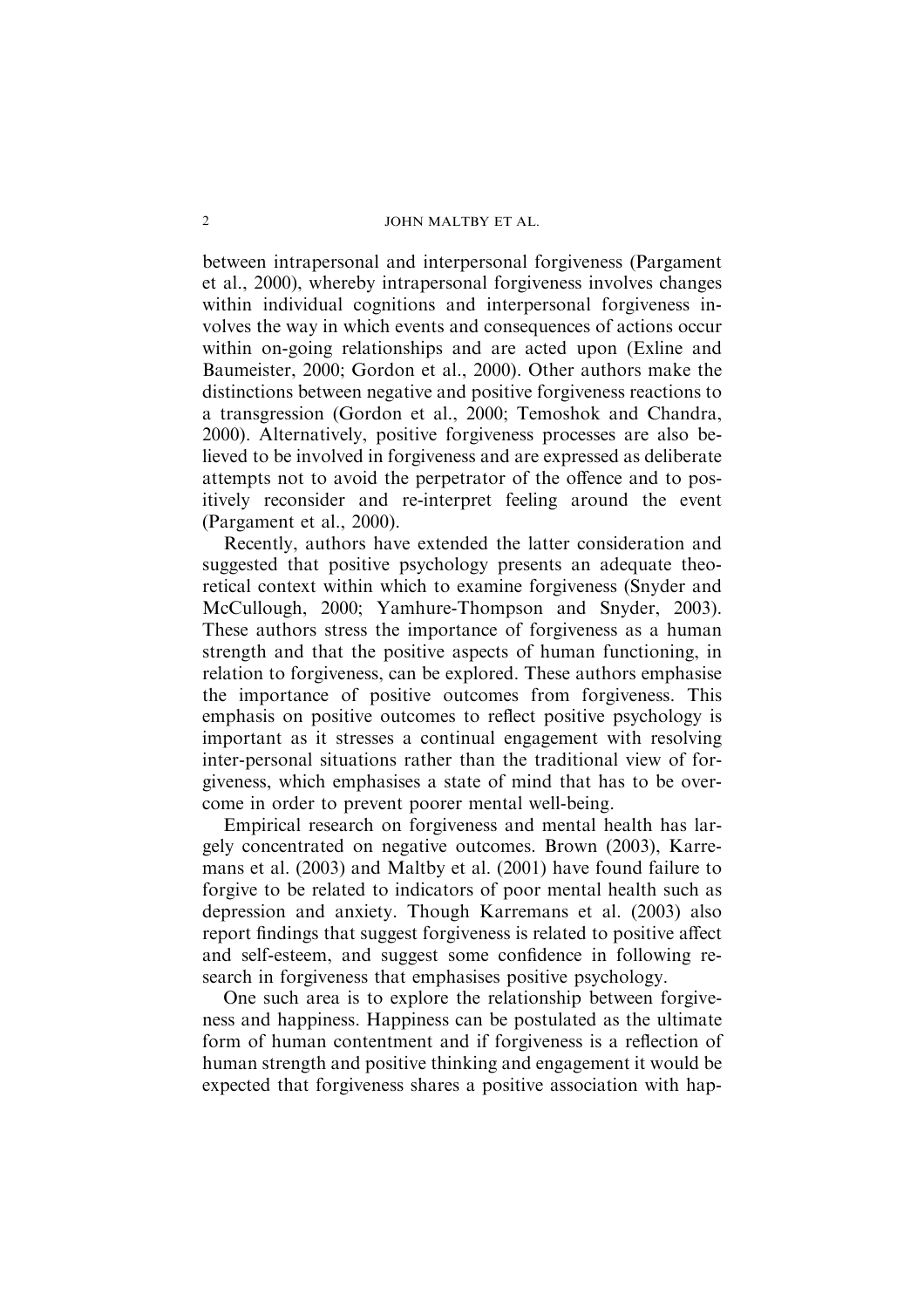between intrapersonal and interpersonal forgiveness (Pargament et al., 2000), whereby intrapersonal forgiveness involves changes within individual cognitions and interpersonal forgiveness involves the way in which events and consequences of actions occur within on-going relationships and are acted upon (Exline and Baumeister, 2000; Gordon et al., 2000). Other authors make the distinctions between negative and positive forgiveness reactions to a transgression (Gordon et al., 2000; Temoshok and Chandra, 2000). Alternatively, positive forgiveness processes are also believed to be involved in forgiveness and are expressed as deliberate attempts not to avoid the perpetrator of the offence and to positively reconsider and re-interpret feeling around the event (Pargament et al., 2000).

Recently, authors have extended the latter consideration and suggested that positive psychology presents an adequate theoretical context within which to examine forgiveness (Snyder and McCullough, 2000; Yamhure-Thompson and Snyder, 2003). These authors stress the importance of forgiveness as a human strength and that the positive aspects of human functioning, in relation to forgiveness, can be explored. These authors emphasise the importance of positive outcomes from forgiveness. This emphasis on positive outcomes to reflect positive psychology is important as it stresses a continual engagement with resolving inter-personal situations rather than the traditional view of forgiveness, which emphasises a state of mind that has to be overcome in order to prevent poorer mental well-being.

Empirical research on forgiveness and mental health has largely concentrated on negative outcomes. Brown (2003), Karremans et al. (2003) and Maltby et al. (2001) have found failure to forgive to be related to indicators of poor mental health such as depression and anxiety. Though Karremans et al. (2003) also report findings that suggest forgiveness is related to positive affect and self-esteem, and suggest some confidence in following research in forgiveness that emphasises positive psychology.

One such area is to explore the relationship between forgiveness and happiness. Happiness can be postulated as the ultimate form of human contentment and if forgiveness is a reflection of human strength and positive thinking and engagement it would be expected that forgiveness shares a positive association with hap-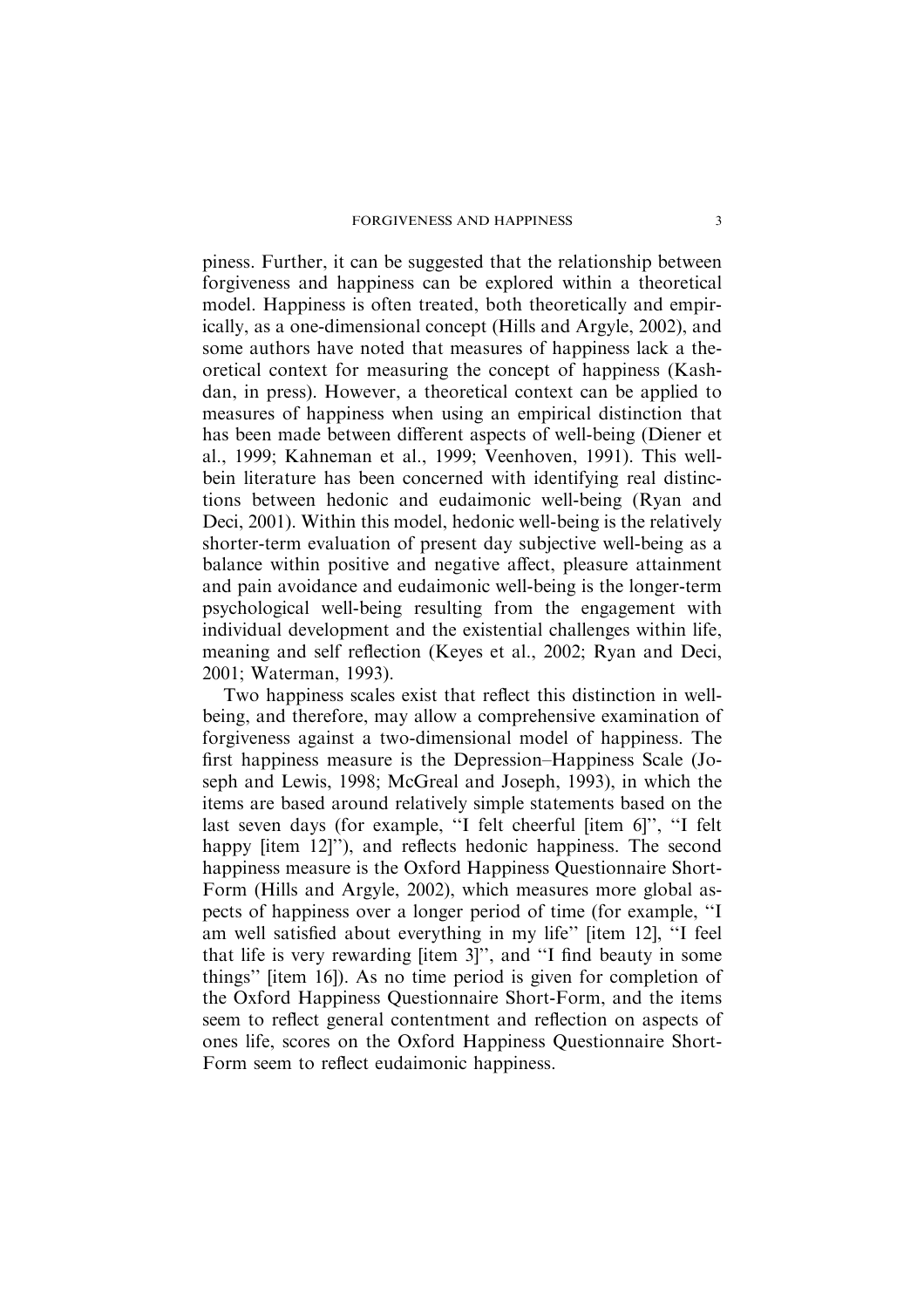piness. Further, it can be suggested that the relationship between forgiveness and happiness can be explored within a theoretical model. Happiness is often treated, both theoretically and empirically, as a one-dimensional concept (Hills and Argyle, 2002), and some authors have noted that measures of happiness lack a theoretical context for measuring the concept of happiness (Kashdan, in press). However, a theoretical context can be applied to measures of happiness when using an empirical distinction that has been made between different aspects of well-being (Diener et al., 1999; Kahneman et al., 1999; Veenhoven, 1991). This wellbein literature has been concerned with identifying real distinctions between hedonic and eudaimonic well-being (Ryan and Deci, 2001). Within this model, hedonic well-being is the relatively shorter-term evaluation of present day subjective well-being as a balance within positive and negative affect, pleasure attainment and pain avoidance and eudaimonic well-being is the longer-term psychological well-being resulting from the engagement with individual development and the existential challenges within life, meaning and self reflection (Keyes et al., 2002; Ryan and Deci, 2001; Waterman, 1993).

Two happiness scales exist that reflect this distinction in wellbeing, and therefore, may allow a comprehensive examination of forgiveness against a two-dimensional model of happiness. The first happiness measure is the Depression–Happiness Scale (Joseph and Lewis, 1998; McGreal and Joseph, 1993), in which the items are based around relatively simple statements based on the last seven days (for example, "I felt cheerful [item 6]", "I felt happy [item 12]"), and reflects hedonic happiness. The second happiness measure is the Oxford Happiness Questionnaire Short-Form (Hills and Argyle, 2002), which measures more global aspects of happiness over a longer period of time (for example, ''I am well satisfied about everything in my life'' [item 12], ''I feel that life is very rewarding [item 3]'', and ''I find beauty in some things'' [item 16]). As no time period is given for completion of the Oxford Happiness Questionnaire Short-Form, and the items seem to reflect general contentment and reflection on aspects of ones life, scores on the Oxford Happiness Questionnaire Short-Form seem to reflect eudaimonic happiness.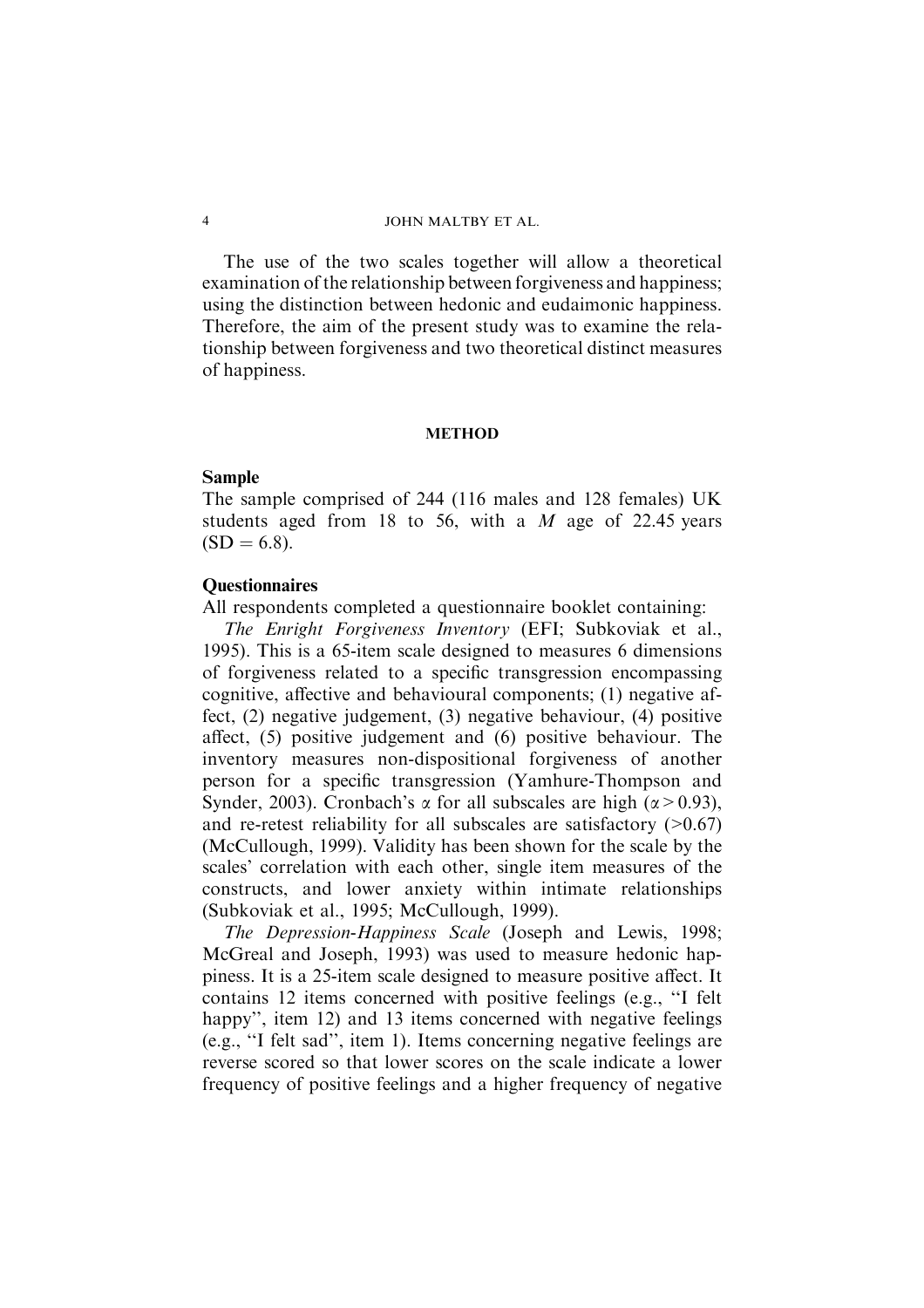The use of the two scales together will allow a theoretical examination of the relationship between forgiveness and happiness; using the distinction between hedonic and eudaimonic happiness. Therefore, the aim of the present study was to examine the relationship between forgiveness and two theoretical distinct measures of happiness.

# **METHOD**

# Sample

The sample comprised of 244 (116 males and 128 females) UK students aged from 18 to 56, with a  $M$  age of 22.45 years  $(SD = 6.8).$ 

# **Questionnaires**

All respondents completed a questionnaire booklet containing:

The Enright Forgiveness Inventory (EFI; Subkoviak et al., 1995). This is a 65-item scale designed to measures 6 dimensions of forgiveness related to a specific transgression encompassing cognitive, affective and behavioural components; (1) negative affect, (2) negative judgement, (3) negative behaviour, (4) positive affect, (5) positive judgement and (6) positive behaviour. The inventory measures non-dispositional forgiveness of another person for a specific transgression (Yamhure-Thompson and Synder, 2003). Cronbach's  $\alpha$  for all subscales are high ( $\alpha$  > 0.93), and re-retest reliability for all subscales are satisfactory  $(>0.67)$ (McCullough, 1999). Validity has been shown for the scale by the scales' correlation with each other, single item measures of the constructs, and lower anxiety within intimate relationships (Subkoviak et al., 1995; McCullough, 1999).

The Depression-Happiness Scale (Joseph and Lewis, 1998; McGreal and Joseph, 1993) was used to measure hedonic happiness. It is a 25-item scale designed to measure positive affect. It contains 12 items concerned with positive feelings (e.g., ''I felt happy", item 12) and 13 items concerned with negative feelings (e.g., ''I felt sad'', item 1). Items concerning negative feelings are reverse scored so that lower scores on the scale indicate a lower frequency of positive feelings and a higher frequency of negative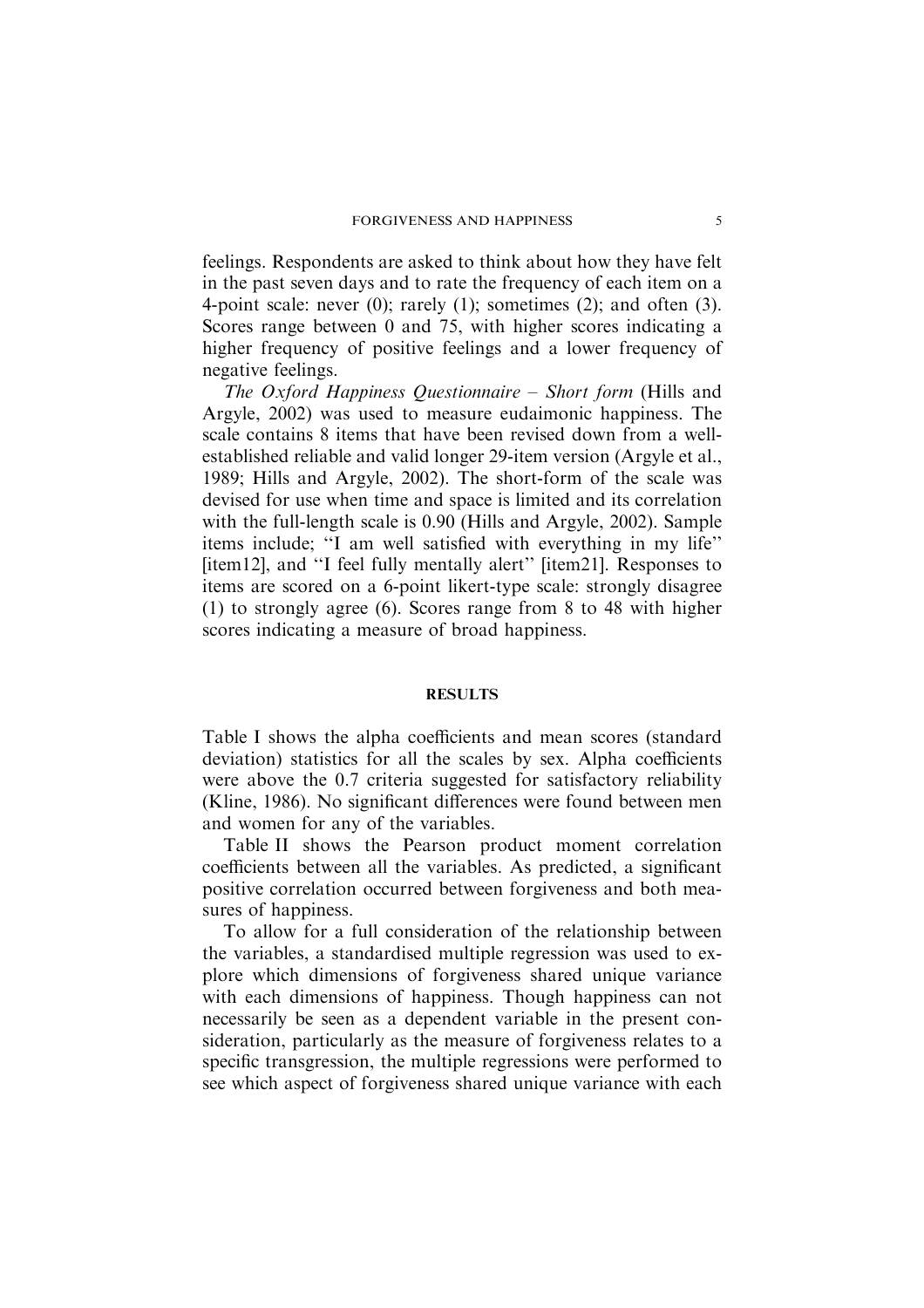feelings. Respondents are asked to think about how they have felt in the past seven days and to rate the frequency of each item on a 4-point scale: never (0); rarely (1); sometimes (2); and often (3). Scores range between 0 and 75, with higher scores indicating a higher frequency of positive feelings and a lower frequency of negative feelings.

The Oxford Happiness Questionnaire – Short form (Hills and Argyle, 2002) was used to measure eudaimonic happiness. The scale contains 8 items that have been revised down from a wellestablished reliable and valid longer 29-item version (Argyle et al., 1989; Hills and Argyle, 2002). The short-form of the scale was devised for use when time and space is limited and its correlation with the full-length scale is 0.90 (Hills and Argyle, 2002). Sample items include; ''I am well satisfied with everything in my life'' [item12], and ''I feel fully mentally alert'' [item21]. Responses to items are scored on a 6-point likert-type scale: strongly disagree (1) to strongly agree (6). Scores range from 8 to 48 with higher scores indicating a measure of broad happiness.

### **RESULTS**

Table I shows the alpha coefficients and mean scores (standard deviation) statistics for all the scales by sex. Alpha coefficients were above the 0.7 criteria suggested for satisfactory reliability (Kline, 1986). No significant differences were found between men and women for any of the variables.

Table II shows the Pearson product moment correlation coefficients between all the variables. As predicted, a significant positive correlation occurred between forgiveness and both measures of happiness.

To allow for a full consideration of the relationship between the variables, a standardised multiple regression was used to explore which dimensions of forgiveness shared unique variance with each dimensions of happiness. Though happiness can not necessarily be seen as a dependent variable in the present consideration, particularly as the measure of forgiveness relates to a specific transgression, the multiple regressions were performed to see which aspect of forgiveness shared unique variance with each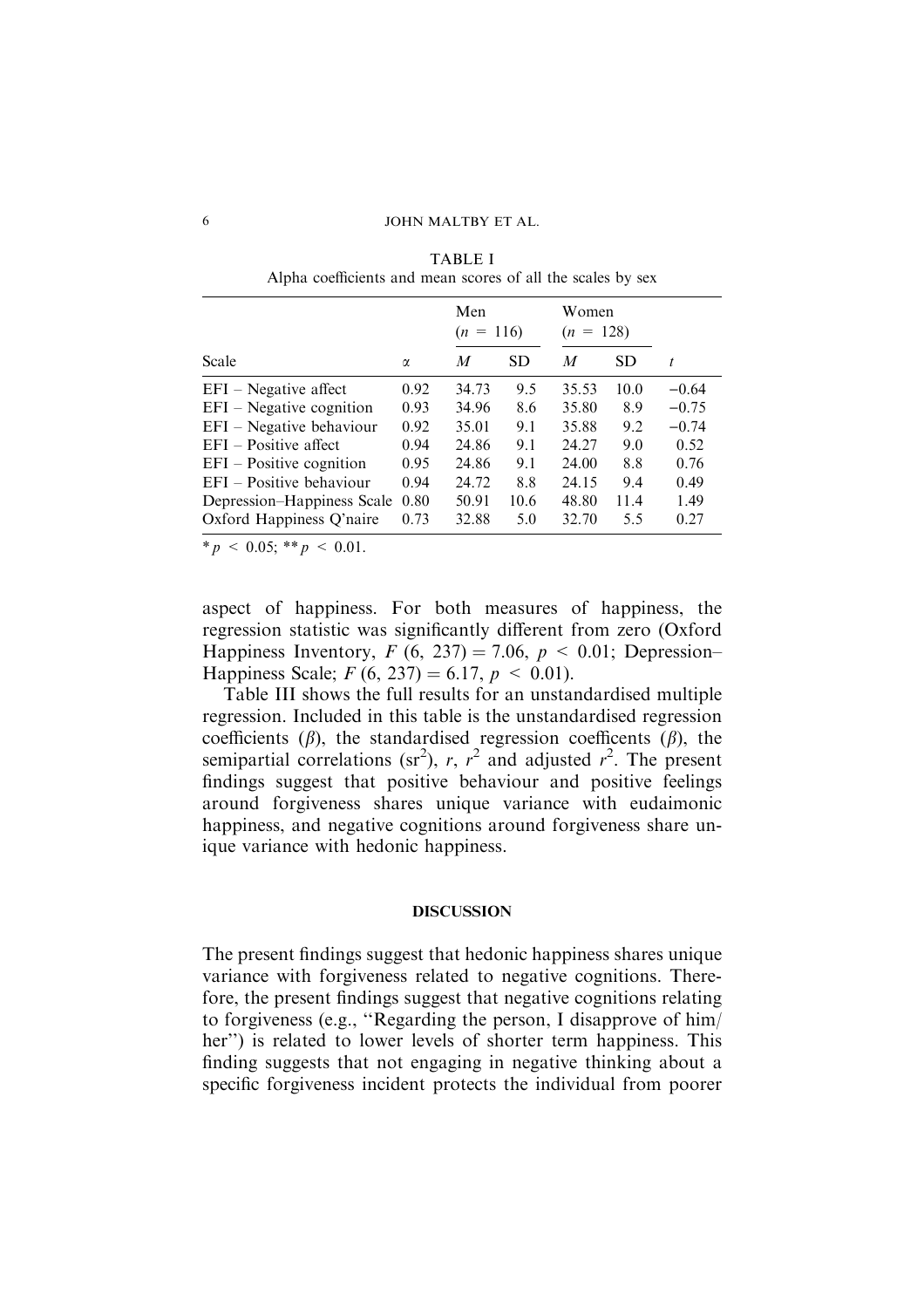|                            |          | Men<br>$= 116$<br>(n |           | Women<br>128)<br>$=$<br>(n |      |                  |
|----------------------------|----------|----------------------|-----------|----------------------------|------|------------------|
| Scale                      | $\alpha$ | M                    | <b>SD</b> | M                          | SD   | $\boldsymbol{t}$ |
| $EFI - Negative$ affect    | 0.92     | 34.73                | 9.5       | 35.53                      | 10.0 | $-0.64$          |
| $EFI - Negative cognition$ | 0.93     | 34.96                | 8.6       | 35.80                      | 8.9  | $-0.75$          |
| $EFI - Negative behaviour$ | 0.92     | 35.01                | 9.1       | 35.88                      | 9.2  | $-0.74$          |
| $EFI - Positive$ affect    | 0.94     | 24.86                | 9.1       | 24.27                      | 9.0  | 0.52             |
| $EFI - Positive cognition$ | 0.95     | 24.86                | 9.1       | 24.00                      | 8.8  | 0.76             |
| $EFI - Positive behaviour$ | 0.94     | 24.72                | 8.8       | 24.15                      | 9.4  | 0.49             |
| Depression–Happiness Scale | 0.80     | 50.91                | 10.6      | 48.80                      | 11.4 | 1.49             |
| Oxford Happiness Q'naire   | 0.73     | 32.88                | 5.0       | 32.70                      | 5.5  | 0.27             |

TABLE I Alpha coefficients and mean scores of all the scales by sex

\*  $p \leq 0.05$ ; \* \*  $p \leq 0.01$ .

aspect of happiness. For both measures of happiness, the regression statistic was significantly different from zero (Oxford Happiness Inventory,  $F(6, 237) = 7.06$ ,  $p < 0.01$ ; Depression– Happiness Scale;  $F(6, 237) = 6.17, p \le 0.01$ .

Table III shows the full results for an unstandardised multiple regression. Included in this table is the unstandardised regression coefficients  $(\beta)$ , the standardised regression coefficents  $(\beta)$ , the semipartial correlations (sr<sup>2</sup>), r,  $r^2$  and adjusted  $r^2$ . The present findings suggest that positive behaviour and positive feelings around forgiveness shares unique variance with eudaimonic happiness, and negative cognitions around forgiveness share unique variance with hedonic happiness.

### DISCUSSION

The present findings suggest that hedonic happiness shares unique variance with forgiveness related to negative cognitions. Therefore, the present findings suggest that negative cognitions relating to forgiveness (e.g., ''Regarding the person, I disapprove of him/ her") is related to lower levels of shorter term happiness. This finding suggests that not engaging in negative thinking about a specific forgiveness incident protects the individual from poorer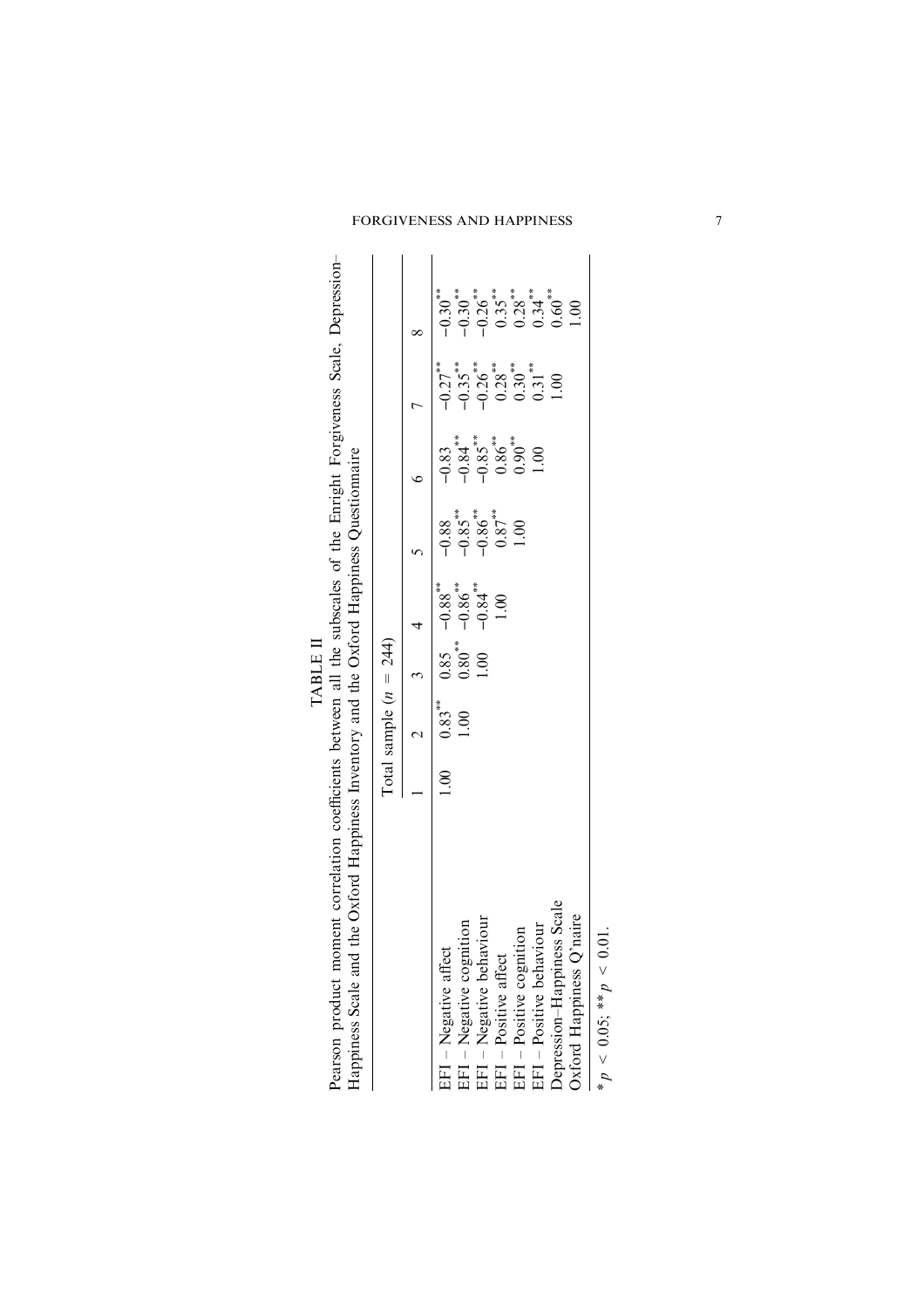|                                                                                                                                                                                                                          |               | Total sample $(n = 244)$ |      |                                                                                                           |                                                                                   |                                                                           |                                                                                   |                                                                                                                    |
|--------------------------------------------------------------------------------------------------------------------------------------------------------------------------------------------------------------------------|---------------|--------------------------|------|-----------------------------------------------------------------------------------------------------------|-----------------------------------------------------------------------------------|---------------------------------------------------------------------------|-----------------------------------------------------------------------------------|--------------------------------------------------------------------------------------------------------------------|
|                                                                                                                                                                                                                          |               |                          |      |                                                                                                           |                                                                                   |                                                                           |                                                                                   |                                                                                                                    |
| Depression-Happiness Scale<br>Oxford Happiness Q'naire<br>EFI - Negative behaviour<br>EFI - Positive affect<br>EFI - Negative cognition<br>EFI - Positive behaviour<br>EFI - Positive cognition<br>EFI - Negative affect | $\mathcal{S}$ | $0.83***$<br>00.1        | 1.00 | $\begin{array}{ccc} 0.85 & -0.88^{**} \\ 0.80^{**} & -0.86^{**} \\ 1.00 & -0.84^{**} \end{array}$<br>1.00 | $\begin{array}{c} 0.88 \ -0.85^{**} \ -0.85^{**} \ 0.87^{**} \end{array}$<br>1.00 | $-0.83$<br>$-0.85$<br>$-0.85$<br>$-0.80$<br>$-0.90$<br>$-0.00$<br>$-1.00$ | $-0.27$<br>$-0.35$<br>$-0.26$<br>$-0.28$<br>$-0.30$<br>$-0.31$<br>$-0.31$<br>1.00 | $-0.30$<br>$-0.26$<br>$-0.30$<br>$-0.30$<br>$-0.30$<br>$-0.30$<br>$-0.30$<br>$-0.30$<br>$-0.30$<br>$-0.30$<br>0.01 |

TABLE II<br>Pearson product moment correlation coefficients between all the subscales of the Enright Forgiveness Scale, Depression-Pearson product moment correlation coefficients between all the subscales of the Enright Forgiveness Scale, Depression– TABLE II

 $* p < 0.05; ** p < 0.01.$  ${}^*p \; < \; 0.05; \; {}^{**}p \; < \; 0.01.$ 

FORGIVENESS AND HAPPINESS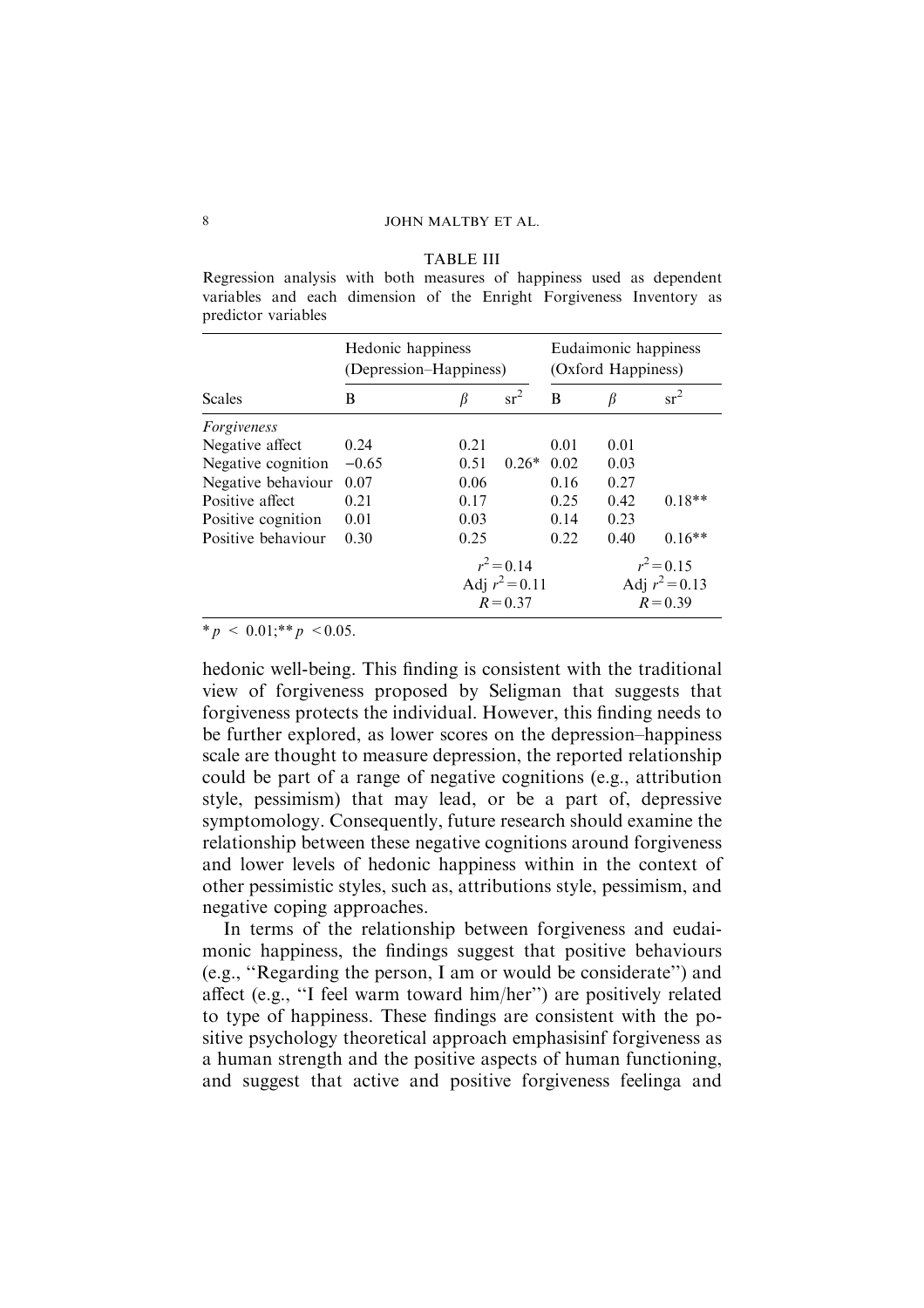#### TABLE III

Regression analysis with both measures of happiness used as dependent variables and each dimension of the Enright Forgiveness Inventory as predictor variables

|                    | Hedonic happiness<br>(Depression–Happiness) |      |                                                | Eudaimonic happiness<br>(Oxford Happiness) |      |                                                |
|--------------------|---------------------------------------------|------|------------------------------------------------|--------------------------------------------|------|------------------------------------------------|
| <b>Scales</b>      | B                                           | β    | $sr^2$                                         | B                                          | β    | $sr^2$                                         |
| Forgiveness        |                                             |      |                                                |                                            |      |                                                |
| Negative affect    | 0.24                                        | 0.21 |                                                | 0.01                                       | 0.01 |                                                |
| Negative cognition | $-0.65$                                     | 0.51 | $0.26*$                                        | 0.02                                       | 0.03 |                                                |
| Negative behaviour | 0.07                                        | 0.06 |                                                | 0.16                                       | 0.27 |                                                |
| Positive affect    | 0.21                                        | 0.17 |                                                | 0.25                                       | 0.42 | $0.18**$                                       |
| Positive cognition | 0.01                                        | 0.03 |                                                | 0.14                                       | 0.23 |                                                |
| Positive behaviour | 0.30                                        | 0.25 |                                                | 0.22                                       | 0.40 | $0.16**$                                       |
|                    |                                             |      | $r^2 = 0.14$<br>Adj $r^2 = 0.11$<br>$R = 0.37$ |                                            |      | $r^2 = 0.15$<br>Adj $r^2 = 0.13$<br>$R = 0.39$ |

 $\frac{1}{2} \cdot p \leq 0.01$ ;\*\*  $p \leq 0.05$ .

hedonic well-being. This finding is consistent with the traditional view of forgiveness proposed by Seligman that suggests that forgiveness protects the individual. However, this finding needs to be further explored, as lower scores on the depression–happiness scale are thought to measure depression, the reported relationship could be part of a range of negative cognitions (e.g., attribution style, pessimism) that may lead, or be a part of, depressive symptomology. Consequently, future research should examine the relationship between these negative cognitions around forgiveness and lower levels of hedonic happiness within in the context of other pessimistic styles, such as, attributions style, pessimism, and negative coping approaches.

In terms of the relationship between forgiveness and eudaimonic happiness, the findings suggest that positive behaviours (e.g., ''Regarding the person, I am or would be considerate'') and affect (e.g., ''I feel warm toward him/her'') are positively related to type of happiness. These findings are consistent with the positive psychology theoretical approach emphasisinf forgiveness as a human strength and the positive aspects of human functioning, and suggest that active and positive forgiveness feelinga and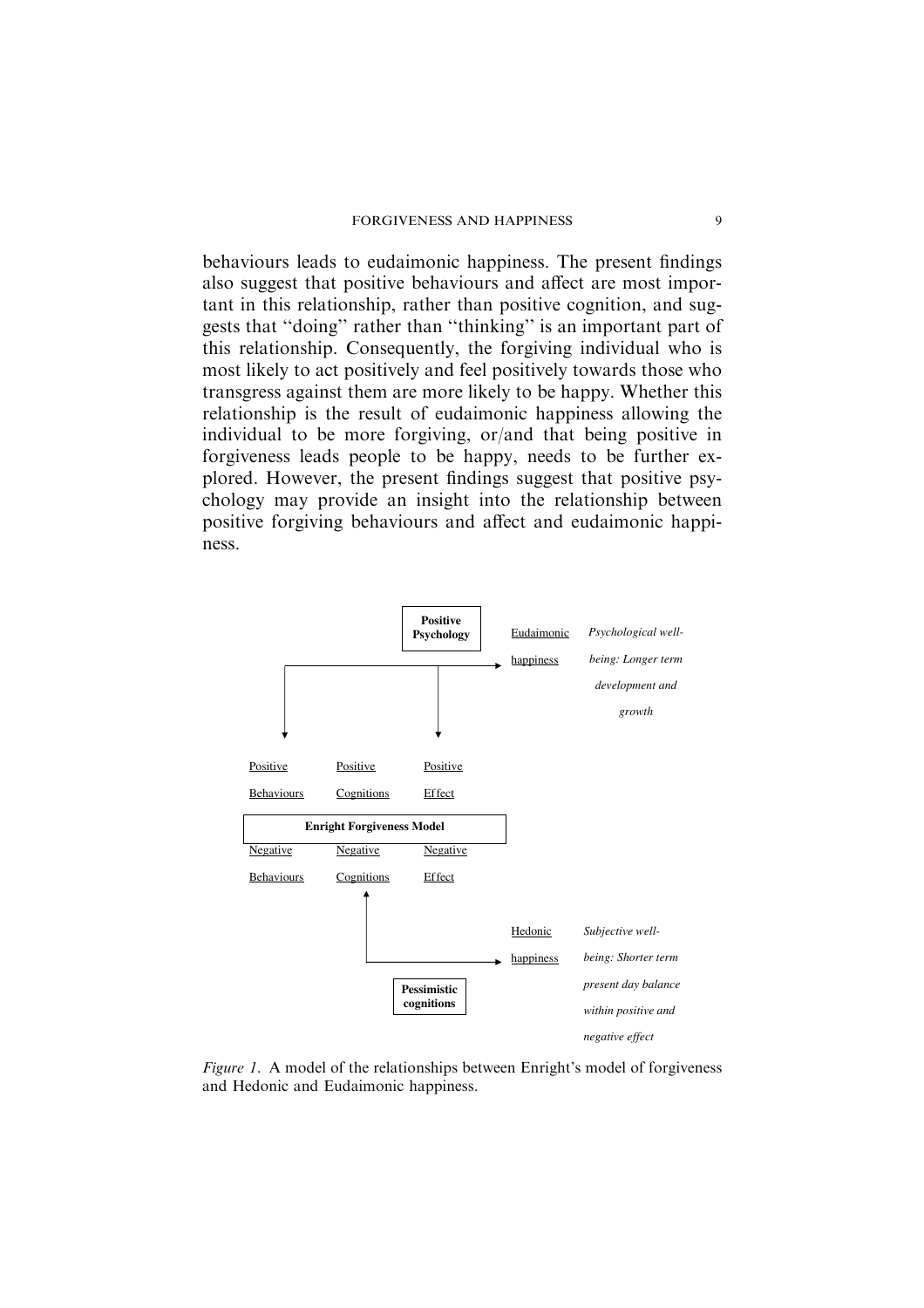#### FORGIVENESS AND HAPPINESS 9

behaviours leads to eudaimonic happiness. The present findings also suggest that positive behaviours and affect are most important in this relationship, rather than positive cognition, and suggests that ''doing'' rather than ''thinking'' is an important part of this relationship. Consequently, the forgiving individual who is most likely to act positively and feel positively towards those who transgress against them are more likely to be happy. Whether this relationship is the result of eudaimonic happiness allowing the individual to be more forgiving, or/and that being positive in forgiveness leads people to be happy, needs to be further explored. However, the present findings suggest that positive psychology may provide an insight into the relationship between positive forgiving behaviours and affect and eudaimonic happiness.



Figure 1. A model of the relationships between Enright's model of forgiveness and Hedonic and Eudaimonic happiness.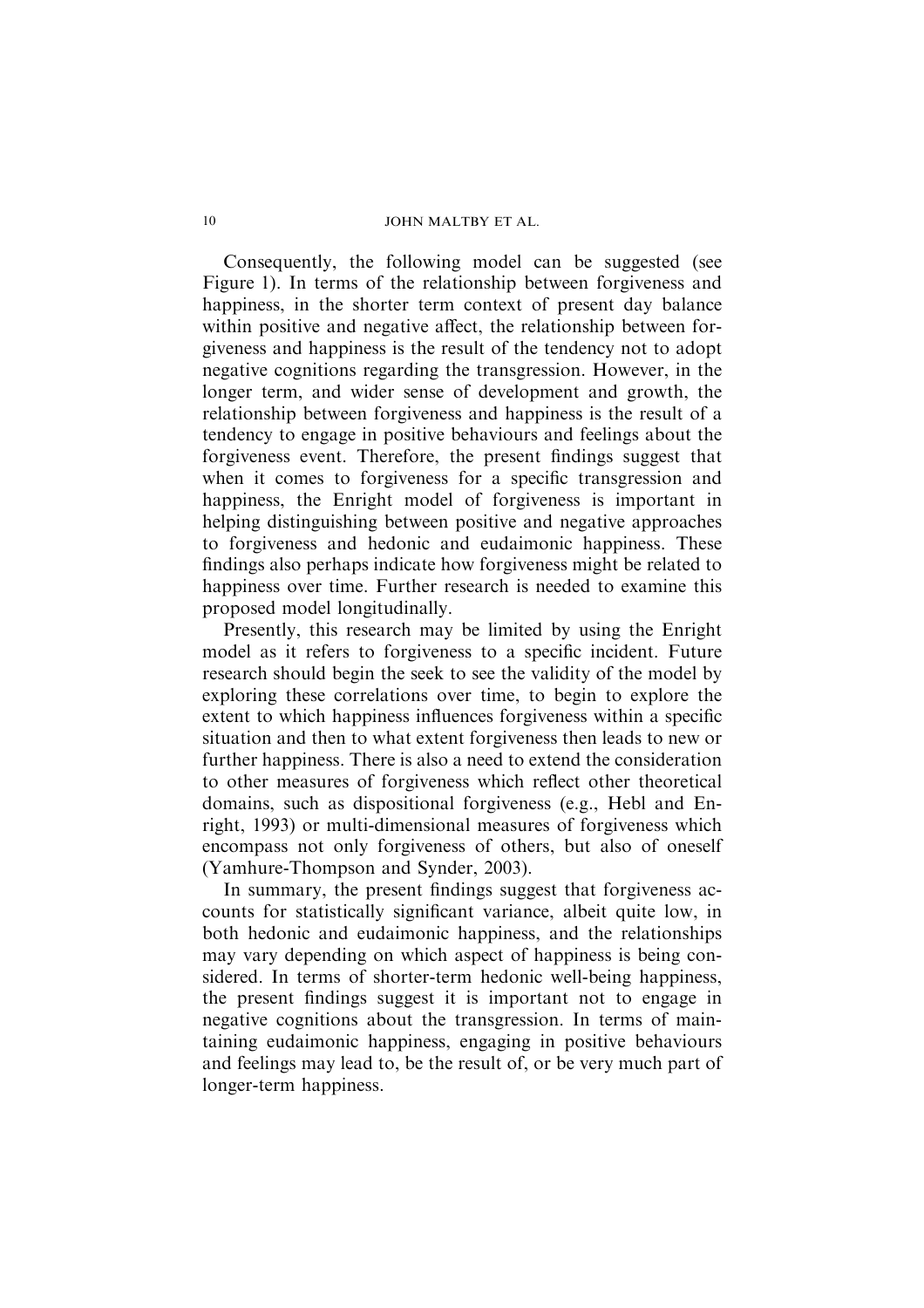Consequently, the following model can be suggested (see Figure 1). In terms of the relationship between forgiveness and happiness, in the shorter term context of present day balance within positive and negative affect, the relationship between forgiveness and happiness is the result of the tendency not to adopt negative cognitions regarding the transgression. However, in the longer term, and wider sense of development and growth, the relationship between forgiveness and happiness is the result of a tendency to engage in positive behaviours and feelings about the forgiveness event. Therefore, the present findings suggest that when it comes to forgiveness for a specific transgression and happiness, the Enright model of forgiveness is important in helping distinguishing between positive and negative approaches to forgiveness and hedonic and eudaimonic happiness. These findings also perhaps indicate how forgiveness might be related to happiness over time. Further research is needed to examine this proposed model longitudinally.

Presently, this research may be limited by using the Enright model as it refers to forgiveness to a specific incident. Future research should begin the seek to see the validity of the model by exploring these correlations over time, to begin to explore the extent to which happiness influences forgiveness within a specific situation and then to what extent forgiveness then leads to new or further happiness. There is also a need to extend the consideration to other measures of forgiveness which reflect other theoretical domains, such as dispositional forgiveness (e.g., Hebl and Enright, 1993) or multi-dimensional measures of forgiveness which encompass not only forgiveness of others, but also of oneself (Yamhure-Thompson and Synder, 2003).

In summary, the present findings suggest that forgiveness accounts for statistically significant variance, albeit quite low, in both hedonic and eudaimonic happiness, and the relationships may vary depending on which aspect of happiness is being considered. In terms of shorter-term hedonic well-being happiness, the present findings suggest it is important not to engage in negative cognitions about the transgression. In terms of maintaining eudaimonic happiness, engaging in positive behaviours and feelings may lead to, be the result of, or be very much part of longer-term happiness.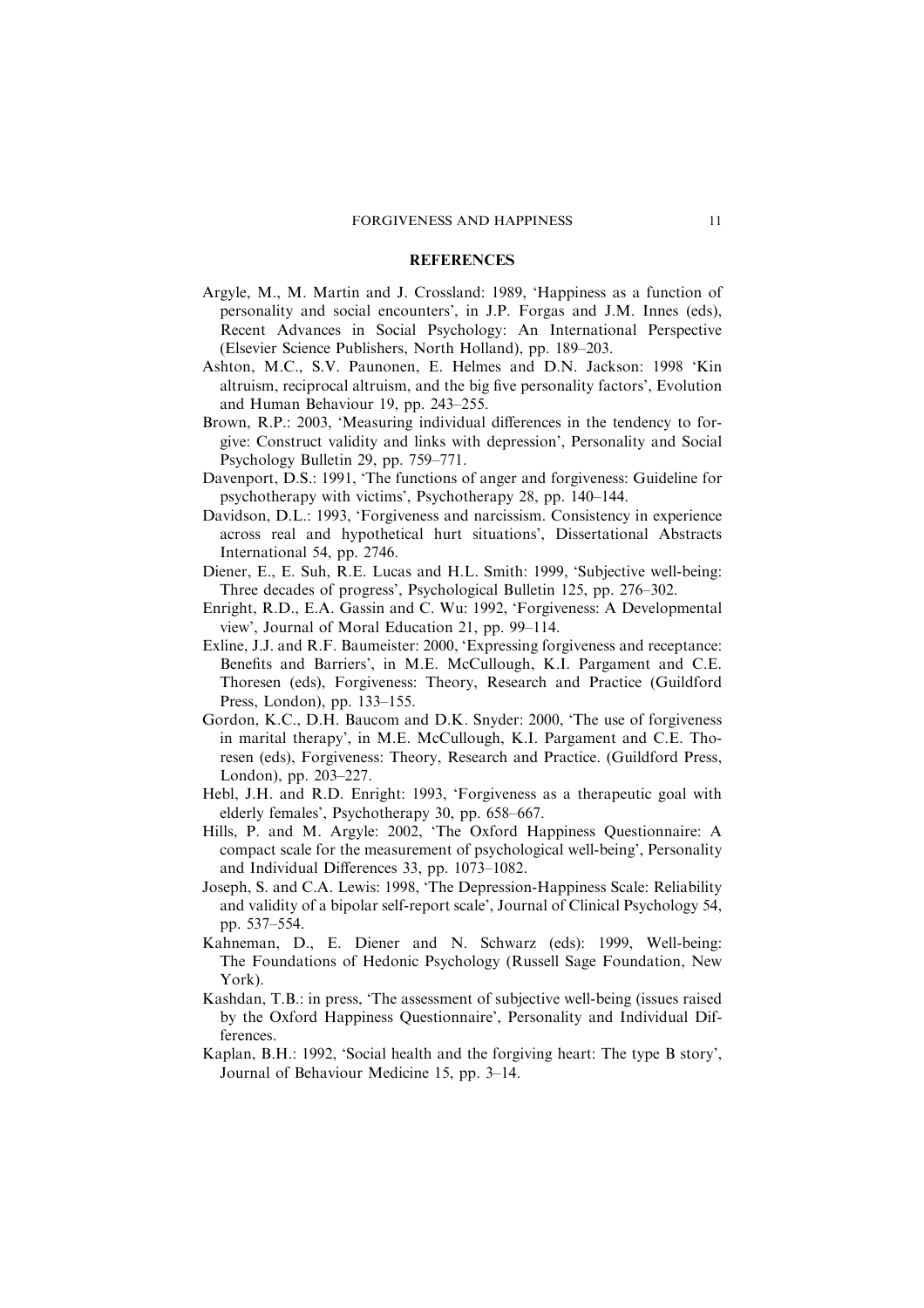#### **REFERENCES**

- Argyle, M., M. Martin and J. Crossland: 1989, 'Happiness as a function of personality and social encounters', in J.P. Forgas and J.M. Innes (eds), Recent Advances in Social Psychology: An International Perspective (Elsevier Science Publishers, North Holland), pp. 189–203.
- Ashton, M.C., S.V. Paunonen, E. Helmes and D.N. Jackson: 1998 'Kin altruism, reciprocal altruism, and the big five personality factors', Evolution and Human Behaviour 19, pp. 243–255.
- Brown, R.P.: 2003, 'Measuring individual differences in the tendency to forgive: Construct validity and links with depression', Personality and Social Psychology Bulletin 29, pp. 759–771.
- Davenport, D.S.: 1991, 'The functions of anger and forgiveness: Guideline for psychotherapy with victims', Psychotherapy 28, pp. 140–144.
- Davidson, D.L.: 1993, 'Forgiveness and narcissism. Consistency in experience across real and hypothetical hurt situations', Dissertational Abstracts International 54, pp. 2746.
- Diener, E., E. Suh, R.E. Lucas and H.L. Smith: 1999, 'Subjective well-being: Three decades of progress', Psychological Bulletin 125, pp. 276–302.
- Enright, R.D., E.A. Gassin and C. Wu: 1992, 'Forgiveness: A Developmental view', Journal of Moral Education 21, pp. 99–114.
- Exline, J.J. and R.F. Baumeister: 2000, 'Expressing forgiveness and receptance: Benefits and Barriers', in M.E. McCullough, K.I. Pargament and C.E. Thoresen (eds), Forgiveness: Theory, Research and Practice (Guildford Press, London), pp. 133–155.
- Gordon, K.C., D.H. Baucom and D.K. Snyder: 2000, 'The use of forgiveness in marital therapy', in M.E. McCullough, K.I. Pargament and C.E. Thoresen (eds), Forgiveness: Theory, Research and Practice. (Guildford Press, London), pp. 203–227.
- Hebl, J.H. and R.D. Enright: 1993, 'Forgiveness as a therapeutic goal with elderly females', Psychotherapy 30, pp. 658–667.
- Hills, P. and M. Argyle: 2002, 'The Oxford Happiness Questionnaire: A compact scale for the measurement of psychological well-being', Personality and Individual Differences 33, pp. 1073–1082.
- Joseph, S. and C.A. Lewis: 1998, 'The Depression-Happiness Scale: Reliability and validity of a bipolar self-report scale', Journal of Clinical Psychology 54, pp. 537–554.
- Kahneman, D., E. Diener and N. Schwarz (eds): 1999, Well-being: The Foundations of Hedonic Psychology (Russell Sage Foundation, New York).
- Kashdan, T.B.: in press, 'The assessment of subjective well-being (issues raised by the Oxford Happiness Questionnaire', Personality and Individual Differences.
- Kaplan, B.H.: 1992, 'Social health and the forgiving heart: The type B story', Journal of Behaviour Medicine 15, pp. 3–14.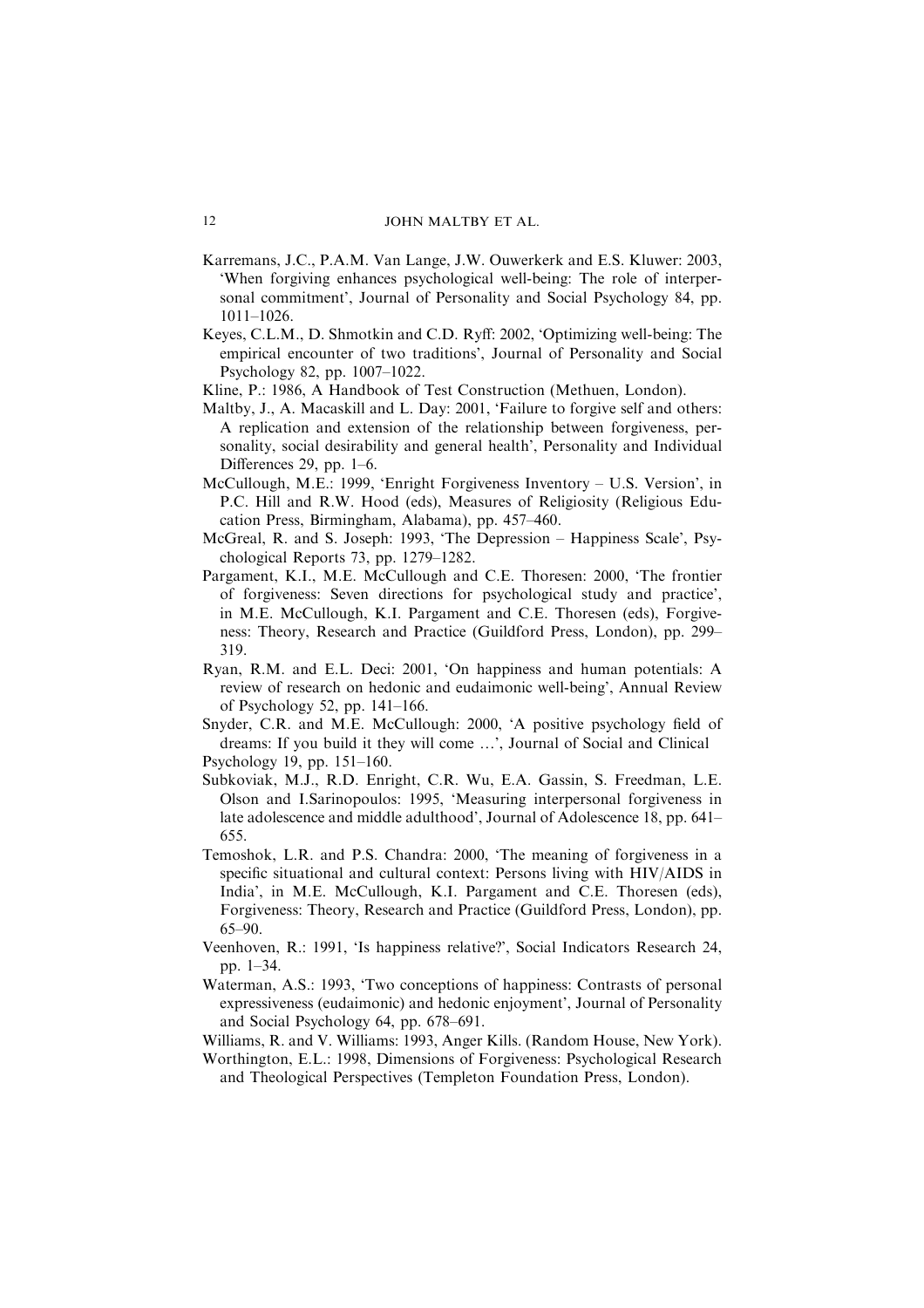- Karremans, J.C., P.A.M. Van Lange, J.W. Ouwerkerk and E.S. Kluwer: 2003, 'When forgiving enhances psychological well-being: The role of interpersonal commitment', Journal of Personality and Social Psychology 84, pp. 1011–1026.
- Keyes, C.L.M., D. Shmotkin and C.D. Ryff: 2002, 'Optimizing well-being: The empirical encounter of two traditions', Journal of Personality and Social Psychology 82, pp. 1007–1022.
- Kline, P.: 1986, A Handbook of Test Construction (Methuen, London).
- Maltby, J., A. Macaskill and L. Day: 2001, 'Failure to forgive self and others: A replication and extension of the relationship between forgiveness, personality, social desirability and general health', Personality and Individual Differences 29, pp. 1–6.
- McCullough, M.E.: 1999, 'Enright Forgiveness Inventory U.S. Version', in P.C. Hill and R.W. Hood (eds), Measures of Religiosity (Religious Education Press, Birmingham, Alabama), pp. 457–460.
- McGreal, R. and S. Joseph: 1993, 'The Depression Happiness Scale', Psychological Reports 73, pp. 1279–1282.
- Pargament, K.I., M.E. McCullough and C.E. Thoresen: 2000, 'The frontier of forgiveness: Seven directions for psychological study and practice', in M.E. McCullough, K.I. Pargament and C.E. Thoresen (eds), Forgiveness: Theory, Research and Practice (Guildford Press, London), pp. 299– 319.
- Ryan, R.M. and E.L. Deci: 2001, 'On happiness and human potentials: A review of research on hedonic and eudaimonic well-being', Annual Review of Psychology 52, pp. 141–166.
- Snyder, C.R. and M.E. McCullough: 2000, 'A positive psychology field of dreams: If you build it they will come …', Journal of Social and Clinical
- Psychology 19, pp. 151–160.
- Subkoviak, M.J., R.D. Enright, C.R. Wu, E.A. Gassin, S. Freedman, L.E. Olson and I.Sarinopoulos: 1995, 'Measuring interpersonal forgiveness in late adolescence and middle adulthood', Journal of Adolescence 18, pp. 641– 655.
- Temoshok, L.R. and P.S. Chandra: 2000, 'The meaning of forgiveness in a specific situational and cultural context: Persons living with HIV/AIDS in India', in M.E. McCullough, K.I. Pargament and C.E. Thoresen (eds), Forgiveness: Theory, Research and Practice (Guildford Press, London), pp. 65–90.
- Veenhoven, R.: 1991, 'Is happiness relative?', Social Indicators Research 24, pp. 1–34.
- Waterman, A.S.: 1993, 'Two conceptions of happiness: Contrasts of personal expressiveness (eudaimonic) and hedonic enjoyment', Journal of Personality and Social Psychology 64, pp. 678–691.
- Williams, R. and V. Williams: 1993, Anger Kills. (Random House, New York).
- Worthington, E.L.: 1998, Dimensions of Forgiveness: Psychological Research and Theological Perspectives (Templeton Foundation Press, London).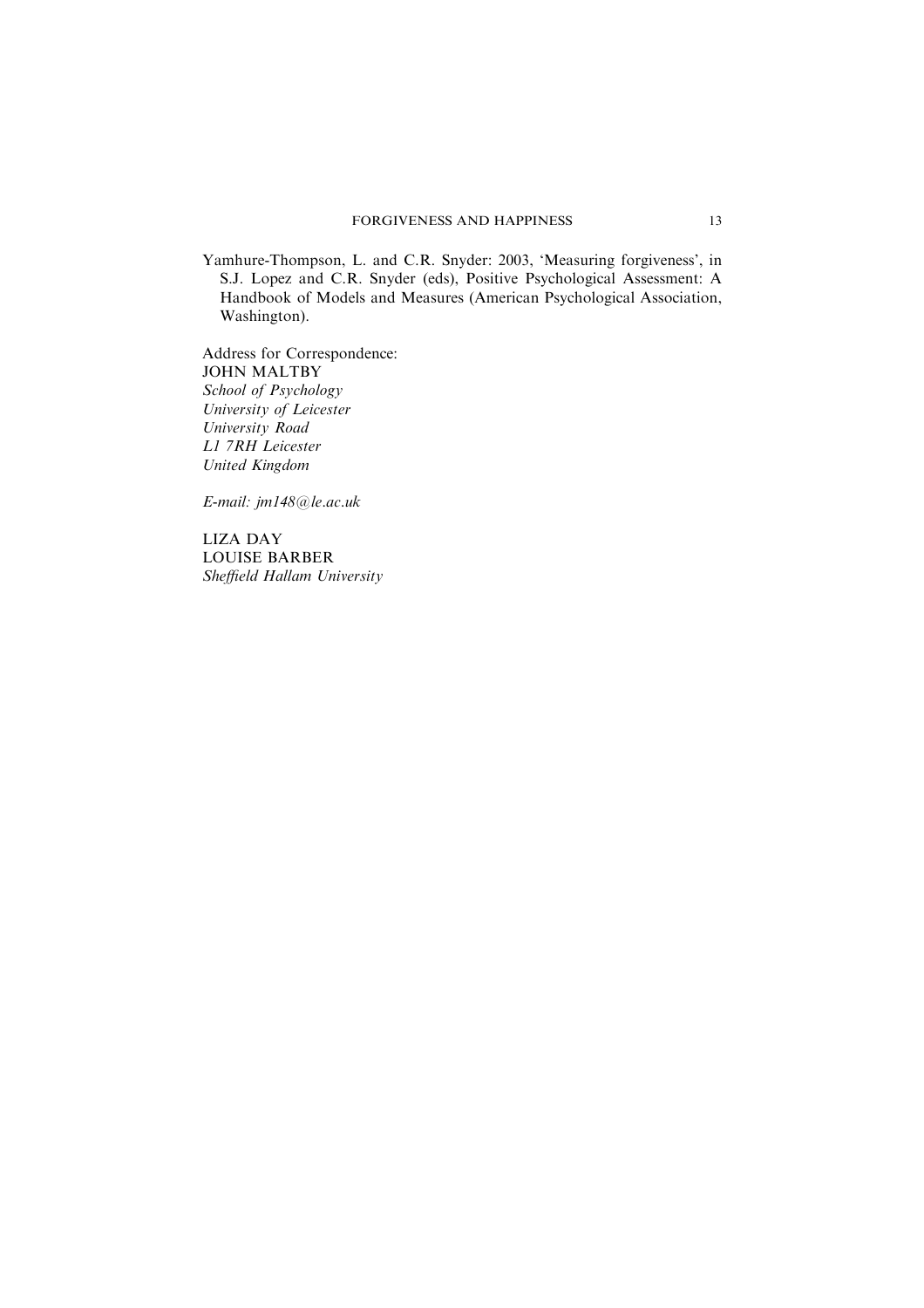Yamhure-Thompson, L. and C.R. Snyder: 2003, 'Measuring forgiveness', in S.J. Lopez and C.R. Snyder (eds), Positive Psychological Assessment: A Handbook of Models and Measures (American Psychological Association, Washington).

Address for Correspondence: JOHN MALTBY School of Psychology University of Leicester University Road L1 7RH Leicester United Kingdom

E-mail: jm148@le.ac.uk

LIZA DAY LOUISE BARBER Sheffield Hallam University